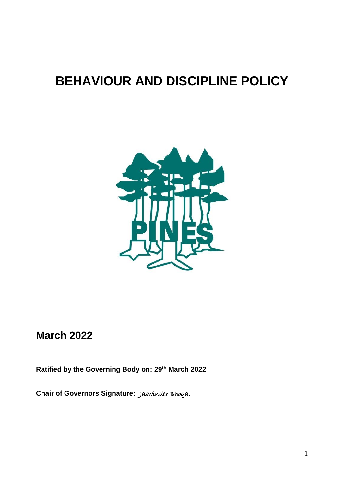# **BEHAVIOUR AND DISCIPLINE POLICY**



# **March 2022**

**Ratified by the Governing Body on: 29th March 2022**

**Chair of Governors Signature:** Jaswinder Bhogal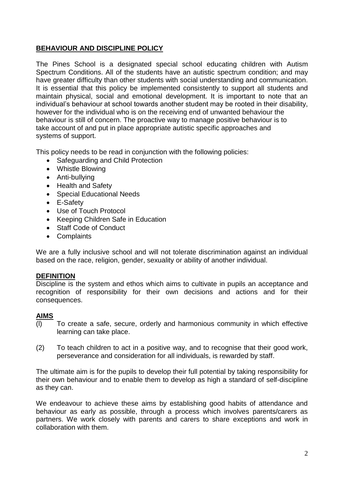# **BEHAVIOUR AND DISCIPLINE POLICY**

The Pines School is a designated special school educating children with Autism Spectrum Conditions. All of the students have an autistic spectrum condition; and may have greater difficulty than other students with social understanding and communication. It is essential that this policy be implemented consistently to support all students and maintain physical, social and emotional development. It is important to note that an individual's behaviour at school towards another student may be rooted in their disability, however for the individual who is on the receiving end of unwanted behaviour the behaviour is still of concern. The proactive way to manage positive behaviour is to take account of and put in place appropriate autistic specific approaches and systems of support.

This policy needs to be read in conjunction with the following policies:

- Safeguarding and Child Protection
- Whistle Blowing
- Anti-bullying
- Health and Safety
- Special Educational Needs
- E-Safety
- Use of Touch Protocol
- Keeping Children Safe in Education
- Staff Code of Conduct
- Complaints

We are a fully inclusive school and will not tolerate discrimination against an individual based on the race, religion, gender, sexuality or ability of another individual.

# **DEFINITION**

Discipline is the system and ethos which aims to cultivate in pupils an acceptance and recognition of responsibility for their own decisions and actions and for their consequences.

# **AIMS**

- (l) To create a safe, secure, orderly and harmonious community in which effective learning can take place.
- (2) To teach children to act in a positive way, and to recognise that their good work, perseverance and consideration for all individuals, is rewarded by staff.

The ultimate aim is for the pupils to develop their full potential by taking responsibility for their own behaviour and to enable them to develop as high a standard of self-discipline as they can.

We endeavour to achieve these aims by establishing good habits of attendance and behaviour as early as possible, through a process which involves parents/carers as partners. We work closely with parents and carers to share exceptions and work in collaboration with them.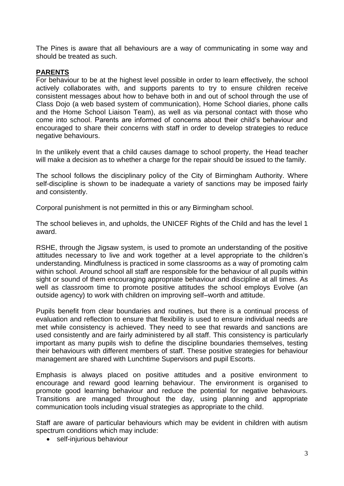The Pines is aware that all behaviours are a way of communicating in some way and should be treated as such.

# **PARENTS**

For behaviour to be at the highest level possible in order to learn effectively, the school actively collaborates with, and supports parents to try to ensure children receive consistent messages about how to behave both in and out of school through the use of Class Dojo (a web based system of communication), Home School diaries, phone calls and the Home School Liaison Team), as well as via personal contact with those who come into school. Parents are informed of concerns about their child's behaviour and encouraged to share their concerns with staff in order to develop strategies to reduce negative behaviours.

In the unlikely event that a child causes damage to school property, the Head teacher will make a decision as to whether a charge for the repair should be issued to the family.

The school follows the disciplinary policy of the City of Birmingham Authority. Where self-discipline is shown to be inadequate a variety of sanctions may be imposed fairly and consistently.

Corporal punishment is not permitted in this or any Birmingham school.

The school believes in, and upholds, the UNICEF Rights of the Child and has the level 1 award.

RSHE, through the Jigsaw system, is used to promote an understanding of the positive attitudes necessary to live and work together at a level appropriate to the children's understanding. Mindfulness is practiced in some classrooms as a way of promoting calm within school. Around school all staff are responsible for the behaviour of all pupils within sight or sound of them encouraging appropriate behaviour and discipline at all times. As well as classroom time to promote positive attitudes the school employs Evolve (an outside agency) to work with children on improving self–worth and attitude.

Pupils benefit from clear boundaries and routines, but there is a continual process of evaluation and reflection to ensure that flexibility is used to ensure individual needs are met while consistency is achieved. They need to see that rewards and sanctions are used consistently and are fairly administered by all staff. This consistency is particularly important as many pupils wish to define the discipline boundaries themselves, testing their behaviours with different members of staff. These positive strategies for behaviour management are shared with Lunchtime Supervisors and pupil Escorts.

Emphasis is always placed on positive attitudes and a positive environment to encourage and reward good learning behaviour. The environment is organised to promote good learning behaviour and reduce the potential for negative behaviours. Transitions are managed throughout the day, using planning and appropriate communication tools including visual strategies as appropriate to the child.

Staff are aware of particular behaviours which may be evident in children with autism spectrum conditions which may include:

self-injurious behaviour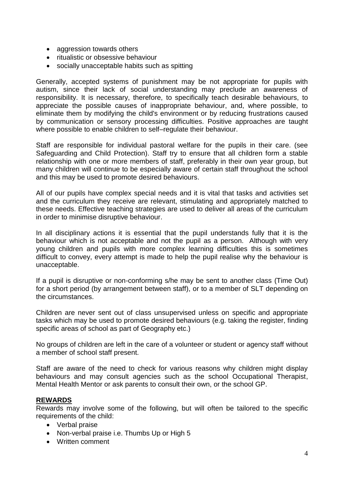- aggression towards others
- ritualistic or obsessive behaviour
- socially unacceptable habits such as spitting

Generally, accepted systems of punishment may be not appropriate for pupils with autism, since their lack of social understanding may preclude an awareness of responsibility. It is necessary, therefore, to specifically teach desirable behaviours, to appreciate the possible causes of inappropriate behaviour, and, where possible, to eliminate them by modifying the child's environment or by reducing frustrations caused by communication or sensory processing difficulties. Positive approaches are taught where possible to enable children to self–regulate their behaviour.

Staff are responsible for individual pastoral welfare for the pupils in their care. (see Safeguarding and Child Protection). Staff try to ensure that all children form a stable relationship with one or more members of staff, preferably in their own year group, but many children will continue to be especially aware of certain staff throughout the school and this may be used to promote desired behaviours.

All of our pupils have complex special needs and it is vital that tasks and activities set and the curriculum they receive are relevant, stimulating and appropriately matched to these needs. Effective teaching strategies are used to deliver all areas of the curriculum in order to minimise disruptive behaviour.

In all disciplinary actions it is essential that the pupil understands fully that it is the behaviour which is not acceptable and not the pupil as a person. Although with very young children and pupils with more complex learning difficulties this is sometimes difficult to convey, every attempt is made to help the pupil realise why the behaviour is unacceptable.

If a pupil is disruptive or non-conforming s/he may be sent to another class (Time Out) for a short period (by arrangement between staff), or to a member of SLT depending on the circumstances.

Children are never sent out of class unsupervised unless on specific and appropriate tasks which may be used to promote desired behaviours (e.g. taking the register, finding specific areas of school as part of Geography etc.)

No groups of children are left in the care of a volunteer or student or agency staff without a member of school staff present.

Staff are aware of the need to check for various reasons why children might display behaviours and may consult agencies such as the school Occupational Therapist, Mental Health Mentor or ask parents to consult their own, or the school GP.

# **REWARDS**

Rewards may involve some of the following, but will often be tailored to the specific requirements of the child:

- Verbal praise
- Non-verbal praise i.e. Thumbs Up or High 5
- Written comment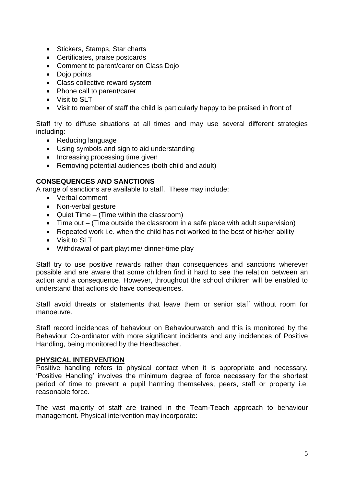- Stickers, Stamps, Star charts
- Certificates, praise postcards
- Comment to parent/carer on Class Dojo
- Doio points
- Class collective reward system
- Phone call to parent/carer
- Visit to SLT
- Visit to member of staff the child is particularly happy to be praised in front of

Staff try to diffuse situations at all times and may use several different strategies including:

- Reducing language
- Using symbols and sign to aid understanding
- Increasing processing time given
- Removing potential audiences (both child and adult)

# **CONSEQUENCES AND SANCTIONS**

A range of sanctions are available to staff. These may include:

- Verbal comment
- Non-verbal gesture
- Quiet Time (Time within the classroom)
- Time out (Time outside the classroom in a safe place with adult supervision)
- Repeated work i.e. when the child has not worked to the best of his/her ability
- Visit to SLT
- Withdrawal of part playtime/ dinner-time play

Staff try to use positive rewards rather than consequences and sanctions wherever possible and are aware that some children find it hard to see the relation between an action and a consequence. However, throughout the school children will be enabled to understand that actions do have consequences.

Staff avoid threats or statements that leave them or senior staff without room for manoeuvre.

Staff record incidences of behaviour on Behaviourwatch and this is monitored by the Behaviour Co-ordinator with more significant incidents and any incidences of Positive Handling, being monitored by the Headteacher.

# **PHYSICAL INTERVENTION**

Positive handling refers to physical contact when it is appropriate and necessary. 'Positive Handling' involves the minimum degree of force necessary for the shortest period of time to prevent a pupil harming themselves, peers, staff or property i.e. reasonable force.

The vast majority of staff are trained in the Team-Teach approach to behaviour management. Physical intervention may incorporate: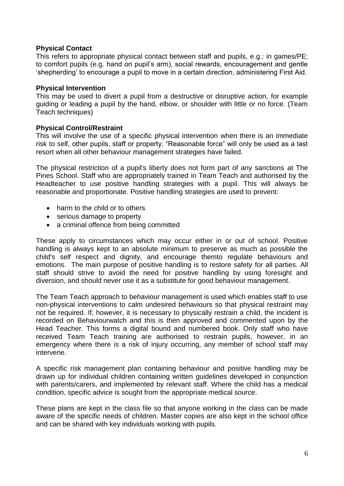# **Physical Contact**

This refers to appropriate physical contact between staff and pupils, e.g.: in games/PE; to comfort pupils (e.g. hand on pupil's arm), social rewards, encouragement and gentle 'shepherding' to encourage a pupil to move in a certain direction, administering First Aid.

# **Physical Intervention**

This may be used to divert a pupil from a destructive or disruptive action, for example guiding or leading a pupil by the hand, elbow, or shoulder with little or no force. (Team Teach techniques)

# **Physical Control/Restraint**

This will involve the use of a specific physical intervention when there is an immediate risk to self, other pupils, staff or property. "Reasonable force" will only be used as a last resort when all other behaviour management strategies have failed.

The physical restriction of a pupil's liberty does not form part of any sanctions at The Pines School. Staff who are appropriately trained in Team Teach and authorised by the Headteacher to use positive handling strategies with a pupil. This will always be reasonable and proportionate. Positive handling strategies are used to prevent:

- harm to the child or to others
- serious damage to property
- a criminal offence from being committed

These apply to circumstances which may occur either in or out of school. Positive handling is always kept to an absolute minimum to preserve as much as possible the child's self respect and dignity, and encourage themto regulate behaviours and emotions. The main purpose of positive handling is to restore safety for all parties. All staff should strive to avoid the need for positive handling by using foresight and diversion, and should never use it as a substitute for good behaviour management.

The Team Teach approach to behaviour management is used which enables staff to use non-physical interventions to calm undesired behaviours so that physical restraint may not be required. If, however, it is necessary to physically restrain a child, the incident is recorded on Behaviourwatch and this is then approved and commented upon by the Head Teacher. This forms a digital bound and numbered book. Only staff who have received Team Teach training are authorised to restrain pupils, however, in an emergency where there is a risk of injury occurring, any member of school staff may intervene.

A specific risk management plan containing behaviour and positive handling may be drawn up for individual children containing written guidelines developed in conjunction with parents/carers, and implemented by relevant staff. Where the child has a medical condition, specific advice is sought from the appropriate medical source.

These plans are kept in the class file so that anyone working in the class can be made aware of the specific needs of children. Master copies are also kept in the school office and can be shared with key individuals working with pupils.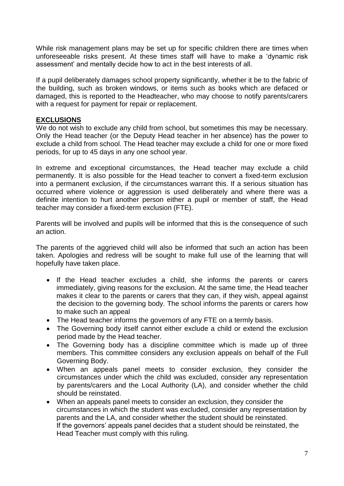While risk management plans may be set up for specific children there are times when unforeseeable risks present. At these times staff will have to make a 'dynamic risk assessment' and mentally decide how to act in the best interests of all.

If a pupil deliberately damages school property significantly, whether it be to the fabric of the building, such as broken windows, or items such as books which are defaced or damaged, this is reported to the Headteacher, who may choose to notify parents/carers with a request for payment for repair or replacement.

# **EXCLUSIONS**

We do not wish to exclude any child from school, but sometimes this may be necessary. Only the Head teacher (or the Deputy Head teacher in her absence) has the power to exclude a child from school. The Head teacher may exclude a child for one or more fixed periods, for up to 45 days in any one school year.

In extreme and exceptional circumstances, the Head teacher may exclude a child permanently. It is also possible for the Head teacher to convert a fixed-term exclusion into a permanent exclusion, if the circumstances warrant this. If a serious situation has occurred where violence or aggression is used deliberately and where there was a definite intention to hurt another person either a pupil or member of staff, the Head teacher may consider a fixed-term exclusion (FTE).

Parents will be involved and pupils will be informed that this is the consequence of such an action.

The parents of the aggrieved child will also be informed that such an action has been taken. Apologies and redress will be sought to make full use of the learning that will hopefully have taken place.

- If the Head teacher excludes a child, she informs the parents or carers immediately, giving reasons for the exclusion. At the same time, the Head teacher makes it clear to the parents or carers that they can, if they wish, appeal against the decision to the governing body. The school informs the parents or carers how to make such an appeal
- The Head teacher informs the governors of any FTE on a termly basis.
- The Governing body itself cannot either exclude a child or extend the exclusion period made by the Head teacher.
- The Governing body has a discipline committee which is made up of three members. This committee considers any exclusion appeals on behalf of the Full Governing Body.
- When an appeals panel meets to consider exclusion, they consider the circumstances under which the child was excluded, consider any representation by parents/carers and the Local Authority (LA), and consider whether the child should be reinstated.
- When an appeals panel meets to consider an exclusion, they consider the circumstances in which the student was excluded, consider any representation by parents and the LA, and consider whether the student should be reinstated. If the governors' appeals panel decides that a student should be reinstated, the Head Teacher must comply with this ruling.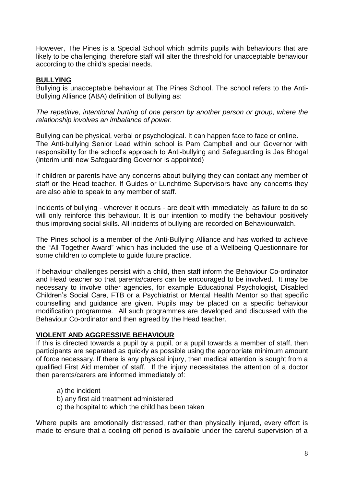However, The Pines is a Special School which admits pupils with behaviours that are likely to be challenging, therefore staff will alter the threshold for unacceptable behaviour according to the child's special needs.

# **BULLYING**

Bullying is unacceptable behaviour at The Pines School. The school refers to the Anti-Bullying Alliance (ABA) definition of Bullying as:

*The repetitive, intentional hurting of one person by another person or group, where the relationship involves an imbalance of power.* 

Bullying can be physical, verbal or psychological. It can happen face to face or online. The Anti-bullying Senior Lead within school is Pam Campbell and our Governor with responsibility for the school's approach to Anti-bullying and Safeguarding is Jas Bhogal (interim until new Safeguarding Governor is appointed)

If children or parents have any concerns about bullying they can contact any member of staff or the Head teacher. If Guides or Lunchtime Supervisors have any concerns they are also able to speak to any member of staff.

Incidents of bullying - wherever it occurs - are dealt with immediately, as failure to do so will only reinforce this behaviour. It is our intention to modify the behaviour positively thus improving social skills. All incidents of bullying are recorded on Behaviourwatch.

The Pines school is a member of the Anti-Bullying Alliance and has worked to achieve the "All Together Award" which has included the use of a Wellbeing Questionnaire for some children to complete to guide future practice.

If behaviour challenges persist with a child, then staff inform the Behaviour Co-ordinator and Head teacher so that parents/carers can be encouraged to be involved. It may be necessary to involve other agencies, for example Educational Psychologist, Disabled Children's Social Care, FTB or a Psychiatrist or Mental Health Mentor so that specific counselling and guidance are given. Pupils may be placed on a specific behaviour modification programme. All such programmes are developed and discussed with the Behaviour Co-ordinator and then agreed by the Head teacher.

# **VIOLENT AND AGGRESSIVE BEHAVIOUR**

If this is directed towards a pupil by a pupil, or a pupil towards a member of staff, then participants are separated as quickly as possible using the appropriate minimum amount of force necessary. If there is any physical injury, then medical attention is sought from a qualified First Aid member of staff. If the injury necessitates the attention of a doctor then parents/carers are informed immediately of:

- a) the incident
- b) any first aid treatment administered
- c) the hospital to which the child has been taken

Where pupils are emotionally distressed, rather than physically injured, every effort is made to ensure that a cooling off period is available under the careful supervision of a